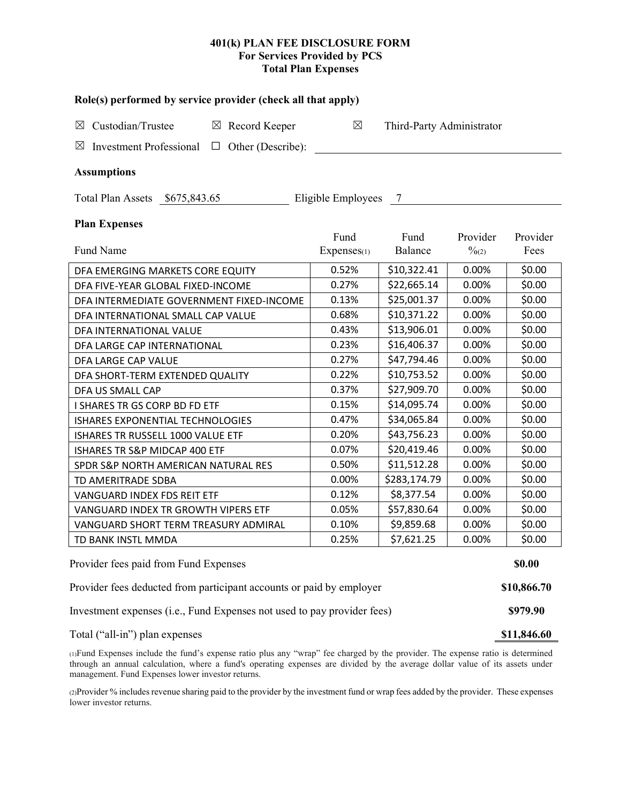## **401(k) PLAN FEE DISCLOSURE FORM For Services Provided by PCS Total Plan Expenses**

| Role(s) performed by service provider (check all that apply)            |                 |                           |                   |          |  |  |  |  |  |  |  |
|-------------------------------------------------------------------------|-----------------|---------------------------|-------------------|----------|--|--|--|--|--|--|--|
| Custodian/Trustee<br>$\boxtimes$ Record Keeper<br>$\boxtimes$           | $\boxtimes$     | Third-Party Administrator |                   |          |  |  |  |  |  |  |  |
| Investment Professional $\Box$ Other (Describe):<br>$\boxtimes$         |                 |                           |                   |          |  |  |  |  |  |  |  |
| <b>Assumptions</b>                                                      |                 |                           |                   |          |  |  |  |  |  |  |  |
| Total Plan Assets \$675,843.65<br>Eligible Employees 7                  |                 |                           |                   |          |  |  |  |  |  |  |  |
| <b>Plan Expenses</b>                                                    | Fund            | Fund                      | Provider          | Provider |  |  |  |  |  |  |  |
| Fund Name                                                               | $Express_{(1)}$ | Balance                   | $\frac{0}{2}$ (2) | Fees     |  |  |  |  |  |  |  |
| DFA EMERGING MARKETS CORE EQUITY                                        | 0.52%           | \$10,322.41               | 0.00%             | \$0.00   |  |  |  |  |  |  |  |
| DFA FIVE-YEAR GLOBAL FIXED-INCOME                                       | 0.27%           | \$22,665.14               | 0.00%             | \$0.00   |  |  |  |  |  |  |  |
| DFA INTERMEDIATE GOVERNMENT FIXED-INCOME                                | 0.13%           | \$25,001.37               | 0.00%             | \$0.00   |  |  |  |  |  |  |  |
| DFA INTERNATIONAL SMALL CAP VALUE                                       | 0.68%           | \$10,371.22               | 0.00%             | \$0.00   |  |  |  |  |  |  |  |
| DFA INTERNATIONAL VALUE                                                 | 0.43%           | \$13,906.01               | 0.00%             | \$0.00   |  |  |  |  |  |  |  |
| DFA LARGE CAP INTERNATIONAL                                             | 0.23%           | \$16,406.37               | 0.00%             | \$0.00   |  |  |  |  |  |  |  |
| DFA LARGE CAP VALUE                                                     | 0.27%           | \$47,794.46               | 0.00%             | \$0.00   |  |  |  |  |  |  |  |
| DFA SHORT-TERM EXTENDED QUALITY                                         | 0.22%           | \$10,753.52               | 0.00%             | \$0.00   |  |  |  |  |  |  |  |
| DFA US SMALL CAP                                                        | 0.37%           | \$27,909.70               | 0.00%             | \$0.00   |  |  |  |  |  |  |  |
| I SHARES TR GS CORP BD FD ETF                                           | 0.15%           | \$14,095.74               | 0.00%             | \$0.00   |  |  |  |  |  |  |  |
| ISHARES EXPONENTIAL TECHNOLOGIES                                        | 0.47%           | \$34,065.84               | 0.00%             | \$0.00   |  |  |  |  |  |  |  |
| ISHARES TR RUSSELL 1000 VALUE ETF                                       | 0.20%           | \$43,756.23               | 0.00%             | \$0.00   |  |  |  |  |  |  |  |
| ISHARES TR S&P MIDCAP 400 ETF                                           | 0.07%           | \$20,419.46               | 0.00%             | \$0.00   |  |  |  |  |  |  |  |
| SPDR S&P NORTH AMERICAN NATURAL RES                                     | 0.50%           | \$11,512.28               | 0.00%             | \$0.00   |  |  |  |  |  |  |  |
| TD AMERITRADE SDBA                                                      | 0.00%           | \$283,174.79              | 0.00%             | \$0.00   |  |  |  |  |  |  |  |
| VANGUARD INDEX FDS REIT ETF                                             | 0.12%           | \$8,377.54                | 0.00%             | \$0.00   |  |  |  |  |  |  |  |
| VANGUARD INDEX TR GROWTH VIPERS ETF                                     | 0.05%           | \$57,830.64               | 0.00%             | \$0.00   |  |  |  |  |  |  |  |
| VANGUARD SHORT TERM TREASURY ADMIRAL                                    | 0.10%           | \$9,859.68                | 0.00%             | \$0.00   |  |  |  |  |  |  |  |
| TD BANK INSTL MMDA                                                      | 0.25%           | \$7,621.25                | 0.00%             | \$0.00   |  |  |  |  |  |  |  |
| Provider fees paid from Fund Expenses                                   |                 |                           |                   |          |  |  |  |  |  |  |  |
| Provider fees deducted from participant accounts or paid by employer    |                 |                           |                   |          |  |  |  |  |  |  |  |
| Investment expenses (i.e., Fund Expenses not used to pay provider fees) |                 |                           |                   |          |  |  |  |  |  |  |  |
| Total ("all-in") plan expenses                                          |                 |                           |                   |          |  |  |  |  |  |  |  |

(1)Fund Expenses include the fund's expense ratio plus any "wrap" fee charged by the provider. The expense ratio is determined through an annual calculation, where a fund's operating expenses are divided by the average dollar value of its assets under management. Fund Expenses lower investor returns.

(2)Provider % includes revenue sharing paid to the provider by the investment fund or wrap fees added by the provider. These expenses lower investor returns.